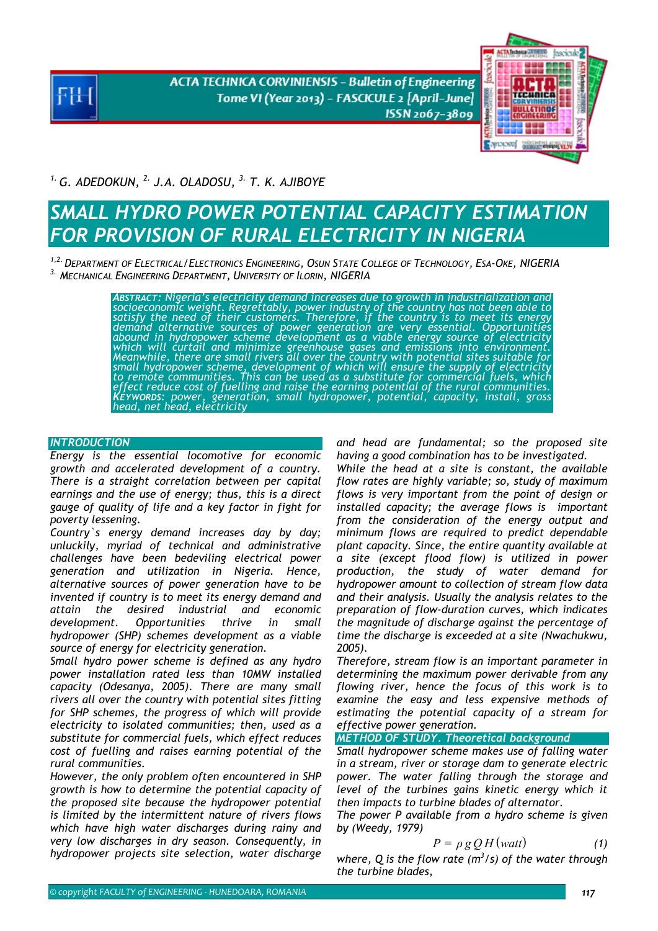**ACTA TECHNICA CORVINIENSIS - Bulletin of Engineering** Tome VI (Year 2013) - FASCICULE 2 [April-June] ISSN 2067-3809



*1. G. ADEDOKUN, 2. J.A. OLADOSU, 3. T. K. AJIBOYE* 

# **SMALL HYDRO POWER POTENTIAL CAPACITY ESTIMATION** *FOR PROVISION OF RURAL ELECTRICITY IN NIGERIA*

*1,2.DEPARTMENT OF ELECTRICAL/ELECTRONICS ENGINEERING, OSUN STATE COLLEGE OF TECHNOLOGY, ESA-OKE, NIGERIA 3. MECHANICAL ENGINEERING DEPARTMENT, UNIVERSITY OF ILORIN, NIGERIA* 

> *ABSTRACT: Nigeria's electricity demand increases due to growth in industrialization and*  socioeconomi̇̃c weight. Regreṫ́tably, power industry of the country has not been able to<br>satisfy the need of their customers. Therefore, if the country is to meet its energy<br>demand alternative sources of power generation *abound in hydropower scheme development as a viable energy source of electricity which will curtail and minimize greenhouse gases and emissions into environment. Meanwhile, there are small rivers all over the country with potential sites suitable for small hydropower scheme, development of which will ensure the supply of electricity to remote communities. This can be used as a substitute for commercial fuels, which effect reduce cost of fuelling and raise the earning potential of the rural communities. KEYWORDS: power, generation, small hydropower, potential, capacity, install, gross head, net head, electricity*

## *INTRODUCTION*

*Energy is the essential locomotive for economic growth and accelerated development of a country. There is a straight correlation between per capital earnings and the use of energy; thus, this is a direct gauge of quality of life and a key factor in fight for poverty lessening.* 

*Country`s energy demand increases day by day; unluckily, myriad of technical and administrative challenges have been bedeviling electrical power generation and utilization in Nigeria. Hence, alternative sources of power generation have to be invented if country is to meet its energy demand and attain the desired industrial and economic development. Opportunities thrive in small hydropower (SHP) schemes development as a viable source of energy for electricity generation.* 

*Small hydro power scheme is defined as any hydro power installation rated less than 10MW installed capacity (Odesanya, 2005). There are many small rivers all over the country with potential sites fitting for SHP schemes, the progress of which will provide electricity to isolated communities; then, used as a substitute for commercial fuels, which effect reduces cost of fuelling and raises earning potential of the rural communities.* 

*However, the only problem often encountered in SHP growth is how to determine the potential capacity of the proposed site because the hydropower potential is limited by the intermittent nature of rivers flows which have high water discharges during rainy and very low discharges in dry season. Consequently, in hydropower projects site selection, water discharge* 

*and head are fundamental; so the proposed site having a good combination has to be investigated.* 

*While the head at a site is constant, the available flow rates are highly variable; so, study of maximum flows is very important from the point of design or installed capacity; the average flows is important from the consideration of the energy output and minimum flows are required to predict dependable plant capacity. Since, the entire quantity available at a site (except flood flow) is utilized in power production, the study of water demand for hydropower amount to collection of stream flow data and their analysis. Usually the analysis relates to the preparation of flow-duration curves, which indicates the magnitude of discharge against the percentage of time the discharge is exceeded at a site (Nwachukwu, 2005).* 

*Therefore, stream flow is an important parameter in determining the maximum power derivable from any flowing river, hence the focus of this work is to examine the easy and less expensive methods of estimating the potential capacity of a stream for effective power generation.* 

*METHOD OF STUDY. Theoretical background* 

*Small hydropower scheme makes use of falling water in a stream, river or storage dam to generate electric power. The water falling through the storage and level of the turbines gains kinetic energy which it then impacts to turbine blades of alternator.* 

*The power P available from a hydro scheme is given by (Weedy, 1979)* 

$$
P = \rho g Q H (watt) \tag{1}
$$

where,  $Q$  is the flow rate  $(m^3/s)$  of the water through *the turbine blades,*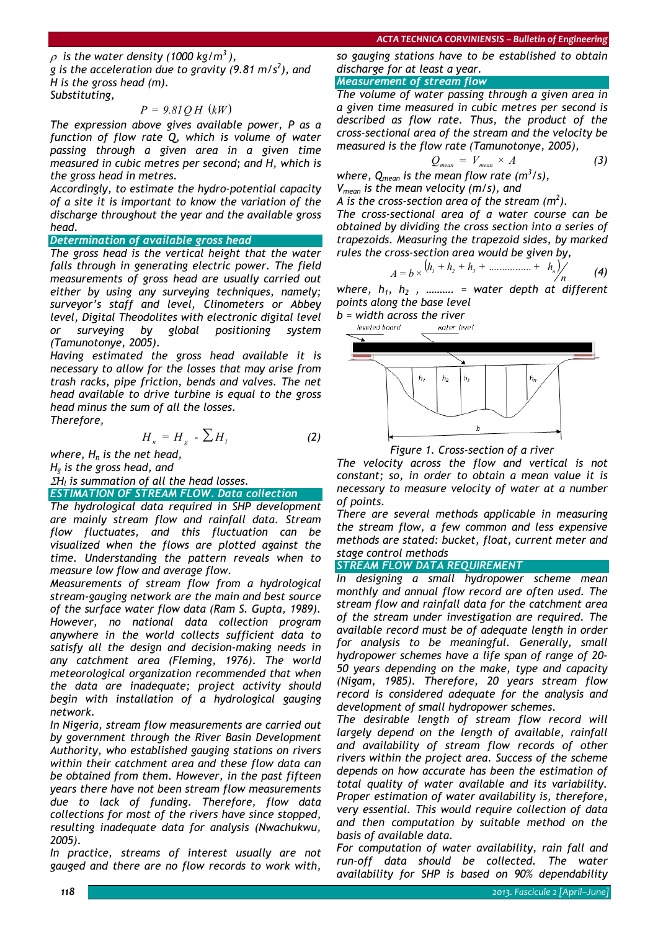$\rho$  is the water density (1000 kg/m<sup>3</sup>),

*g is the acceleration due to gravity (9.81 m/s<sup>2</sup> ), and H is the gross head (m).* 

*Substituting,* 

# $P = 9.81QH$  (*kW*)

*The expression above gives available power, P as a function of flow rate Q, which is volume of water passing through a given area in a given time measured in cubic metres per second; and H, which is the gross head in metres.* 

*Accordingly, to estimate the hydro-potential capacity of a site it is important to know the variation of the discharge throughout the year and the available gross head.* 

#### *Determination of available gross head*

*The gross head is the vertical height that the water falls through in generating electric power. The field measurements of gross head are usually carried out either by using any surveying techniques, namely; surveyor's staff and level, Clinometers or Abbey level, Digital Theodolites with electronic digital level or surveying by global positioning system (Tamunotonye, 2005).* 

*Having estimated the gross head available it is necessary to allow for the losses that may arise from trash racks, pipe friction, bends and valves. The net head available to drive turbine is equal to the gross head minus the sum of all the losses. Therefore,* 

$$
H_n = H_g - \sum H_l \tag{2}
$$

*where, H<sub>n</sub> is the net head, Hg is the gross head, and*  <sup>Σ</sup>*Hl is summation of all the head losses.* 

*ESTIMATION OF STREAM FLOW. Data collection* 

*The hydrological data required in SHP development are mainly stream flow and rainfall data. Stream flow fluctuates, and this fluctuation can be visualized when the flows are plotted against the time. Understanding the pattern reveals when to measure low flow and average flow.* 

*Measurements of stream flow from a hydrological stream-gauging network are the main and best source of the surface water flow data (Ram S. Gupta, 1989). However, no national data collection program anywhere in the world collects sufficient data to satisfy all the design and decision-making needs in any catchment area (Fleming, 1976). The world meteorological organization recommended that when the data are inadequate; project activity should begin with installation of a hydrological gauging network.* 

*In Nigeria, stream flow measurements are carried out by government through the River Basin Development Authority, who established gauging stations on rivers within their catchment area and these flow data can be obtained from them. However, in the past fifteen years there have not been stream flow measurements due to lack of funding. Therefore, flow data collections for most of the rivers have since stopped, resulting inadequate data for analysis (Nwachukwu, 2005).* 

*In practice, streams of interest usually are not gauged and there are no flow records to work with,* 

*so gauging stations have to be established to obtain discharge for at least a year.* 

### *Measurement of stream flow*

*The volume of water passing through a given area in a given time measured in cubic metres per second is described as flow rate. Thus, the product of the cross-sectional area of the stream and the velocity be measured is the flow rate (Tamunotonye, 2005),* 

$$
Q_{mean} = V_{mean} \times A \tag{3}
$$

where,  $Q_{mean}$  is the mean flow rate  $(m^3/s)$ , *Vmean is the mean velocity (m/s), and* 

*A* is the cross-section area of the stream  $(m^2)$ .

*The cross-sectional area of a water course can be obtained by dividing the cross section into a series of trapezoids. Measuring the trapezoid sides, by marked rules the cross-section area would be given by,* 

$$
A = b \times (h_1 + h_2 + h_3 + \dots + h_n) / \qquad (4)
$$

where,  $h_1$ ,  $h_2$ , ………. = water depth at different *points along the base level* 

*b = width across the river* 





*Figure 1. Cross-section of a river* 

*The velocity across the flow and vertical is not constant; so, in order to obtain a mean value it is necessary to measure velocity of water at a number of points.* 

*There are several methods applicable in measuring the stream flow, a few common and less expensive methods are stated: bucket, float, current meter and stage control methods* 

## *STREAM FLOW DATA REQUIREMENT*

*In designing a small hydropower scheme mean monthly and annual flow record are often used. The stream flow and rainfall data for the catchment area of the stream under investigation are required. The available record must be of adequate length in order for analysis to be meaningful. Generally, small hydropower schemes have a life span of range of 20- 50 years depending on the make, type and capacity (Nigam, 1985). Therefore, 20 years stream flow record is considered adequate for the analysis and development of small hydropower schemes.* 

*The desirable length of stream flow record will largely depend on the length of available, rainfall and availability of stream flow records of other rivers within the project area. Success of the scheme depends on how accurate has been the estimation of total quality of water available and its variability. Proper estimation of water availability is, therefore, very essential. This would require collection of data and then computation by suitable method on the basis of available data.* 

*For computation of water availability, rain fall and run-off data should be collected. The water availability for SHP is based on 90% dependability*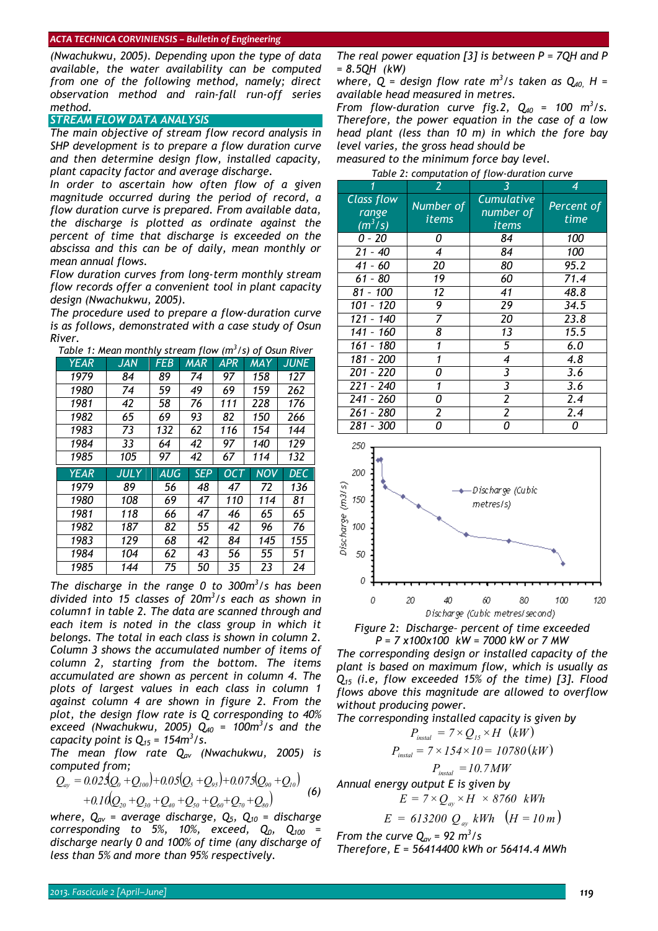*(Nwachukwu, 2005). Depending upon the type of data available, the water availability can be computed from one of the following method, namely; direct observation method and rain-fall run-off series method.* 

#### *STREAM FLOW DATA ANALYSIS*

*The main objective of stream flow record analysis in SHP development is to prepare a flow duration curve and then determine design flow, installed capacity, plant capacity factor and average discharge.* 

*In order to ascertain how often flow of a given magnitude occurred during the period of record, a flow duration curve is prepared. From available data, the discharge is plotted as ordinate against the percent of time that discharge is exceeded on the abscissa and this can be of daily, mean monthly or mean annual flows.* 

*Flow duration curves from long-term monthly stream flow records offer a convenient tool in plant capacity design (Nwachukwu, 2005).* 

*The procedure used to prepare a flow-duration curve is as follows, demonstrated with a case study of Osun River.* 

|  |  |  | Table 1: Mean monthly stream flow (m $3/$ s) of Osun River |  |
|--|--|--|------------------------------------------------------------|--|
|  |  |  |                                                            |  |

| <b>YEAR</b> | JAN  | FEB        | <b>MAR</b> | <b>APR</b> | <b>MAY</b> | <b>JUNE</b> |
|-------------|------|------------|------------|------------|------------|-------------|
| 1979        | 84   | 89         | 74         | 97         | 158        | 127         |
| 1980        | 74   | 59         | 49         | 69         | 159        | 262         |
| 1981        | 42   | 58         | 76         | 111        | 228        | 176         |
| 1982        | 65   | 69         | 93         | 82         | 150        | 266         |
| 1983        | 73   | 132        | 62         | 116        | 154        | 144         |
| 1984        | 33   | 64         | 42         | 97         | 140        | 129         |
| 1985        | 105  | 97         | 42         | 67         | 114        | 132         |
|             |      |            |            |            |            |             |
| <b>YEAR</b> | JULY | <b>AUG</b> | <b>SEP</b> | OC T       | <b>NOV</b> | <b>DEC</b>  |
| 1979        | 89   | 56         | 48         | 47         | 72         | 136         |
| 1980        | 108  | 69         | 47         | 110        | 114        | 81          |
| 1981        | 118  | 66         | 47         | 46         | 65         | 65          |
| 1982        | 187  | 82         | 55         | 42         | 96         | 76          |
| 1983        | 129  | 68         | 42         | 84         | 145        | 155         |
| 1984        | 104  | 62         | 43         | 56         | 55         | 51          |

The discharge in the range 0 to 300m<sup>3</sup>/s has been *divided into 15 classes of 20m3 /s each as shown in column1 in table 2. The data are scanned through and each item is noted in the class group in which it belongs. The total in each class is shown in column 2. Column 3 shows the accumulated number of items of column 2, starting from the bottom. The items accumulated are shown as percent in column 4. The plots of largest values in each class in column 1 against column 4 are shown in figure 2. From the plot, the design flow rate is Q corresponding to 40% exceed (Nwachukwu, 2005) Q40 = 100m<sup>3</sup> /s and the capacity point is*  $Q_{15} = 154 \text{m}^3/\text{s}$ .

*The mean flow rate Qav (Nwachukwu, 2005) is computed from;* 

$$
Q_{ay} = 0.025(Q_0 + Q_{100}) + 0.05(Q_5 + Q_{95}) + 0.075(Q_{90} + Q_{10})
$$
  
+0.10(Q<sub>20</sub> + Q<sub>30</sub> + Q<sub>40</sub> + Q<sub>50</sub> + Q<sub>60</sub> + Q<sub>70</sub> + Q<sub>80</sub>) (6)

*where, Qav = average discharge, Q5, Q10 = discharge corresponding to 5%, 10%, exceed,*  $Q_0$ *,*  $Q_{100}$  *= discharge nearly 0 and 100% of time (any discharge of less than 5% and more than 95% respectively.* 

*The real power equation [3] is between P = 7QH and P = 8.5QH (kW)* 

where,  $Q =$  design flow rate  $m^3/s$  taken as  $Q_{40}$ ,  $H =$ *available head measured in metres.* 

*From flow-duration curve fig.2,*  $Q_{40}$  *= 100 m<sup>3</sup>/s. Therefore, the power equation in the case of a low head plant (less than 10 m) in which the fore bay level varies, the gross head should be* 

*measured to the minimum force bay level.* 

| Table 2: computation of flow-duration curve |                    |                                         |                    |  |  |  |  |
|---------------------------------------------|--------------------|-----------------------------------------|--------------------|--|--|--|--|
| 1                                           | 2                  |                                         | 4                  |  |  |  |  |
| <b>Class flow</b><br>range<br>$(m^3/s)$     | Number of<br>items | <b>Cumulative</b><br>number of<br>items | Percent of<br>time |  |  |  |  |
| 0 - 20                                      | 0                  | 84                                      | 100                |  |  |  |  |
| $21 - 40$                                   | 4                  | 84                                      | 100                |  |  |  |  |
| 41 - 60                                     | 20                 | 80                                      | 95.2               |  |  |  |  |
| 61 - 80                                     | 19                 | 60                                      | 71.4               |  |  |  |  |
| $81 - 100$                                  | 12                 | 41                                      | 48.8               |  |  |  |  |
| 101 -<br>120                                | 9                  | 29                                      | 34.5               |  |  |  |  |
| 121 - 140                                   | 7                  | 20                                      | 23.8               |  |  |  |  |
| 141 - 160                                   | 8                  | 13                                      | 15.5               |  |  |  |  |
| 161 - 180                                   | 1                  | 5                                       | 6.0                |  |  |  |  |
| 181 - 200                                   | 1                  | 4                                       | 4.8                |  |  |  |  |
| 201 - 220                                   | Ω                  | 3                                       | 3.6                |  |  |  |  |
| $221 - 240$                                 |                    | 3                                       | 3.6                |  |  |  |  |
| 241 - 260                                   | п                  | 2                                       | 2.4                |  |  |  |  |
| 261 - 280                                   | 2                  | 2                                       | 2.4                |  |  |  |  |
| 281 - 300                                   | Ω                  | n                                       | 0                  |  |  |  |  |



*Figure 2: Discharge– percent of time exceeded P = 7 x100x100 kW = 7000 kW or 7 MW* 

*The corresponding design or installed capacity of the plant is based on maximum flow, which is usually as Q15 (i.e, flow exceeded 15% of the time) [3]. Flood flows above this magnitude are allowed to overflow without producing power.* 

The corresponding installed capacity is given by  
\n
$$
P_{\text{instal}} = 7 \times Q_{15} \times H \quad (kW)
$$
\n
$$
P_{\text{instal}} = 7 \times 154 \times 10 = 10780 \, (kW)
$$
\n
$$
P_{\text{instal}} = 10.7 MW
$$

*Annual energy output E is given by* 

$$
E = 7 \times Q_{ay} \times H \times 8760 \text{ kWh}
$$

$$
E = 613200 Q_{\text{av}} kWh \quad (H = 10 \, m)
$$

*From the curve*  $Q_{av} = 92 \text{ m}^3/\text{s}$ 

*Therefore, E = 56414400 kWh or 56414.4 MWh*